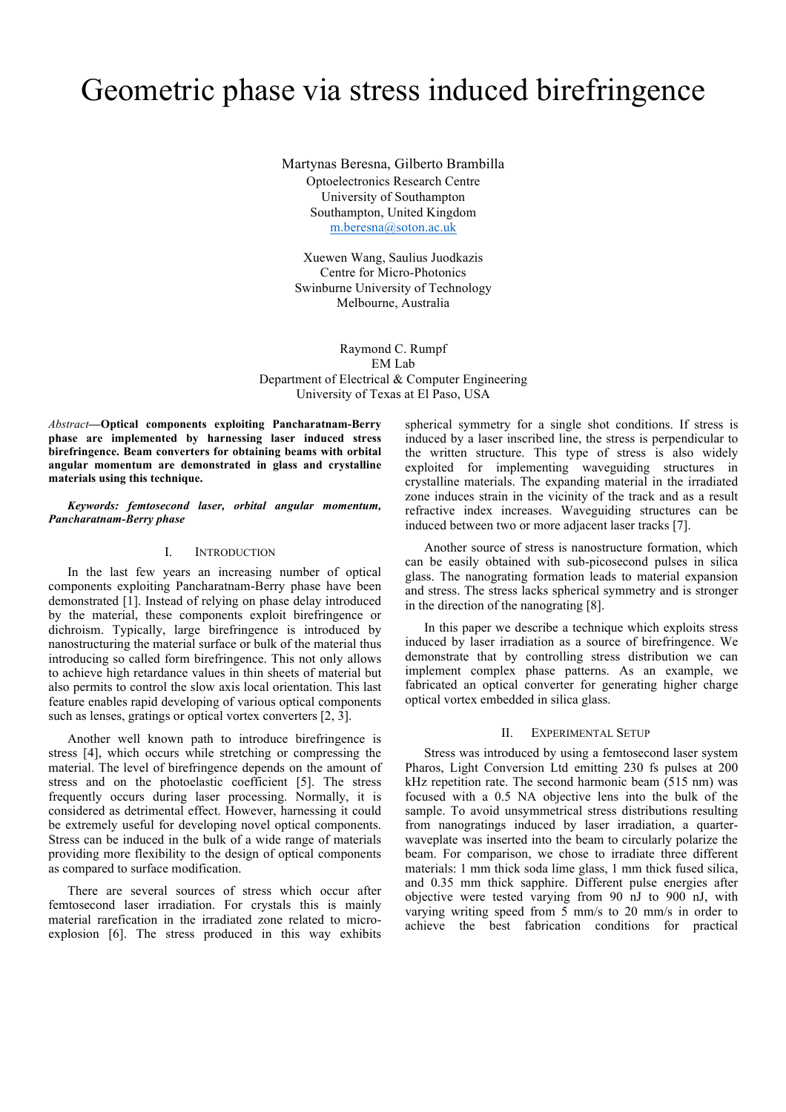# Geometric phase via stress induced birefringence

Martynas Beresna, Gilberto Brambilla Optoelectronics Research Centre University of Southampton Southampton, United Kingdom m.beresna@soton.ac.uk

Xuewen Wang, Saulius Juodkazis Centre for Micro-Photonics Swinburne University of Technology Melbourne, Australia

Raymond C. Rumpf EM Lab Department of Electrical & Computer Engineering University of Texas at El Paso, USA

*Abstract***—Optical components exploiting Pancharatnam-Berry phase are implemented by harnessing laser induced stress birefringence. Beam converters for obtaining beams with orbital angular momentum are demonstrated in glass and crystalline materials using this technique.** 

*Keywords: femtosecond laser, orbital angular momentum, Pancharatnam-Berry phase*

#### I. INTRODUCTION

In the last few years an increasing number of optical components exploiting Pancharatnam-Berry phase have been demonstrated [1]. Instead of relying on phase delay introduced by the material, these components exploit birefringence or dichroism. Typically, large birefringence is introduced by nanostructuring the material surface or bulk of the material thus introducing so called form birefringence. This not only allows to achieve high retardance values in thin sheets of material but also permits to control the slow axis local orientation. This last feature enables rapid developing of various optical components such as lenses, gratings or optical vortex converters [2, 3].

Another well known path to introduce birefringence is stress [4], which occurs while stretching or compressing the material. The level of birefringence depends on the amount of stress and on the photoelastic coefficient [5]. The stress frequently occurs during laser processing. Normally, it is considered as detrimental effect. However, harnessing it could be extremely useful for developing novel optical components. Stress can be induced in the bulk of a wide range of materials providing more flexibility to the design of optical components as compared to surface modification.

There are several sources of stress which occur after femtosecond laser irradiation. For crystals this is mainly material rarefication in the irradiated zone related to microexplosion [6]. The stress produced in this way exhibits spherical symmetry for a single shot conditions. If stress is induced by a laser inscribed line, the stress is perpendicular to the written structure. This type of stress is also widely exploited for implementing waveguiding structures in crystalline materials. The expanding material in the irradiated zone induces strain in the vicinity of the track and as a result refractive index increases. Waveguiding structures can be induced between two or more adjacent laser tracks [7].

Another source of stress is nanostructure formation, which can be easily obtained with sub-picosecond pulses in silica glass. The nanograting formation leads to material expansion and stress. The stress lacks spherical symmetry and is stronger in the direction of the nanograting [8].

In this paper we describe a technique which exploits stress induced by laser irradiation as a source of birefringence. We demonstrate that by controlling stress distribution we can implement complex phase patterns. As an example, we fabricated an optical converter for generating higher charge optical vortex embedded in silica glass.

### II. EXPERIMENTAL SETUP

Stress was introduced by using a femtosecond laser system Pharos, Light Conversion Ltd emitting 230 fs pulses at 200 kHz repetition rate. The second harmonic beam (515 nm) was focused with a 0.5 NA objective lens into the bulk of the sample. To avoid unsymmetrical stress distributions resulting from nanogratings induced by laser irradiation, a quarterwaveplate was inserted into the beam to circularly polarize the beam. For comparison, we chose to irradiate three different materials: 1 mm thick soda lime glass, 1 mm thick fused silica, and 0.35 mm thick sapphire. Different pulse energies after objective were tested varying from 90 nJ to 900 nJ, with varying writing speed from 5 mm/s to 20 mm/s in order to achieve the best fabrication conditions for practical